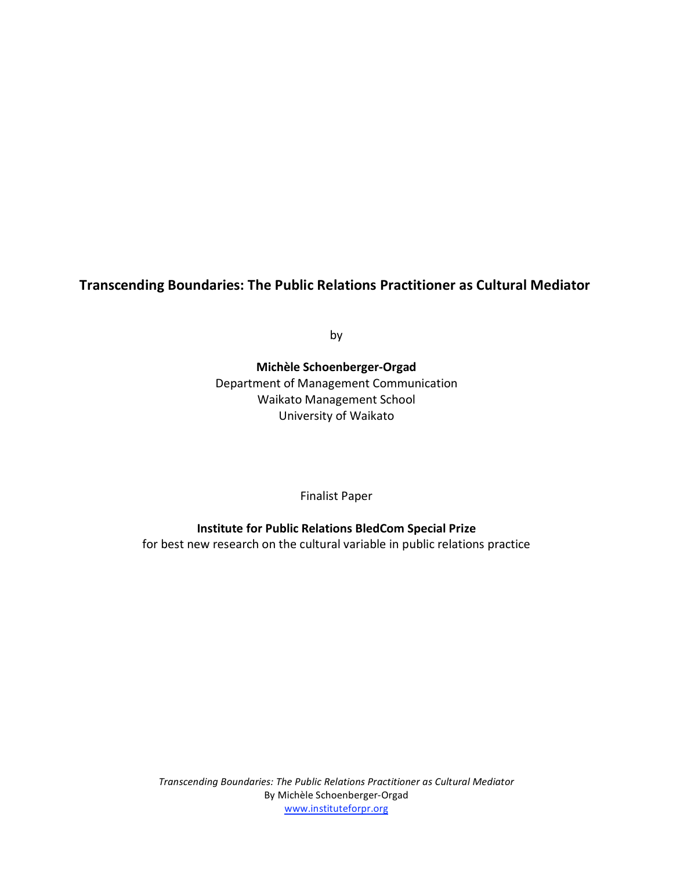# **Transcending Boundaries:
The Public Relations Practitioner as Cultural Mediator**

by

**Michèle Schoenberger‐Orgad** Department of Management Communication Waikato Management School University of Waikato

Finalist Paper

**Institute for Public Relations BledCom Special Prize** for best new research on the cultural variable in public relations practice

*Transcending Boundaries: The Public Relations Practitioner as Cultural Mediator* By Michèle Schoenberger‐Orgad www.instituteforpr.org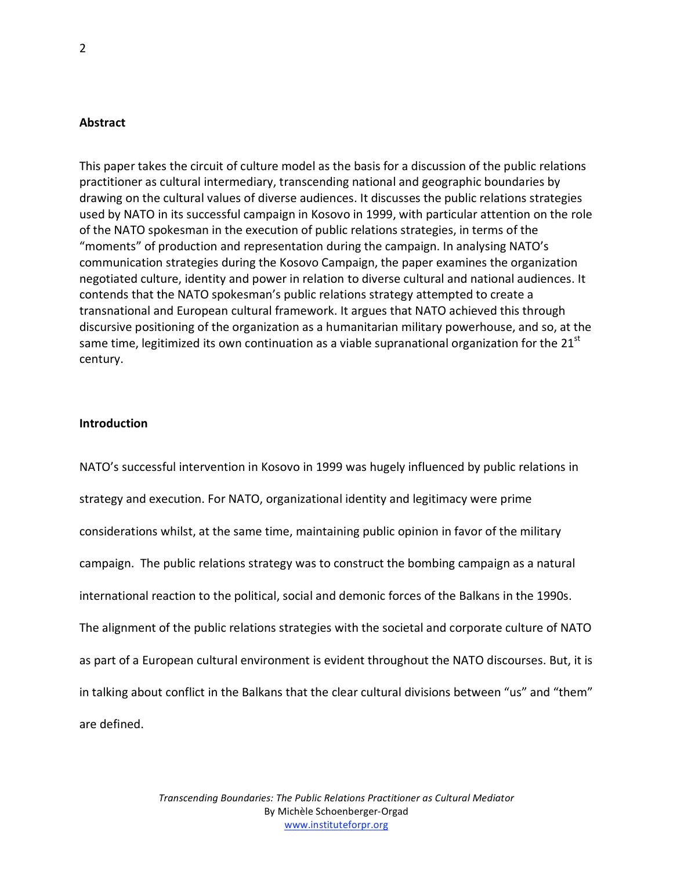#### **Abstract**

This paper takes the circuit of culture model as the basis for a discussion of the public relations practitioner as cultural intermediary, transcending national and geographic boundaries by drawing on the cultural values of diverse audiences. It discusses the public relations strategies used by NATO in its successful campaign in Kosovo in 1999, with particular attention on the role of the NATO spokesman in the execution of public relations strategies, in terms of the "moments" of production and representation during the campaign. In analysing NATO's communication strategies during the Kosovo Campaign, the paper examines the organization negotiated culture, identity and power in relation to diverse cultural and national audiences. It contends that the NATO spokesman's public relations strategy attempted to create a transnational and European cultural framework. It argues that NATO achieved this through discursive positioning of the organization as a humanitarian military powerhouse, and so, at the same time, legitimized its own continuation as a viable supranational organization for the  $21<sup>st</sup>$ century.

### **Introduction**

NATO's successful intervention in Kosovo in 1999 was hugely influenced by public relations in strategy and execution. For NATO, organizational identity and legitimacy were prime considerations whilst, at the same time, maintaining public opinion in favor of the military campaign. The public relations strategy was to construct the bombing campaign as a natural international reaction to the political, social and demonic forces of the Balkans in the 1990s. The alignment of the public relations strategies with the societal and corporate culture of NATO as part of a European cultural environment is evident throughout the NATO discourses. But, it is in talking about conflict in the Balkans that the clear cultural divisions between "us" and "them" are defined.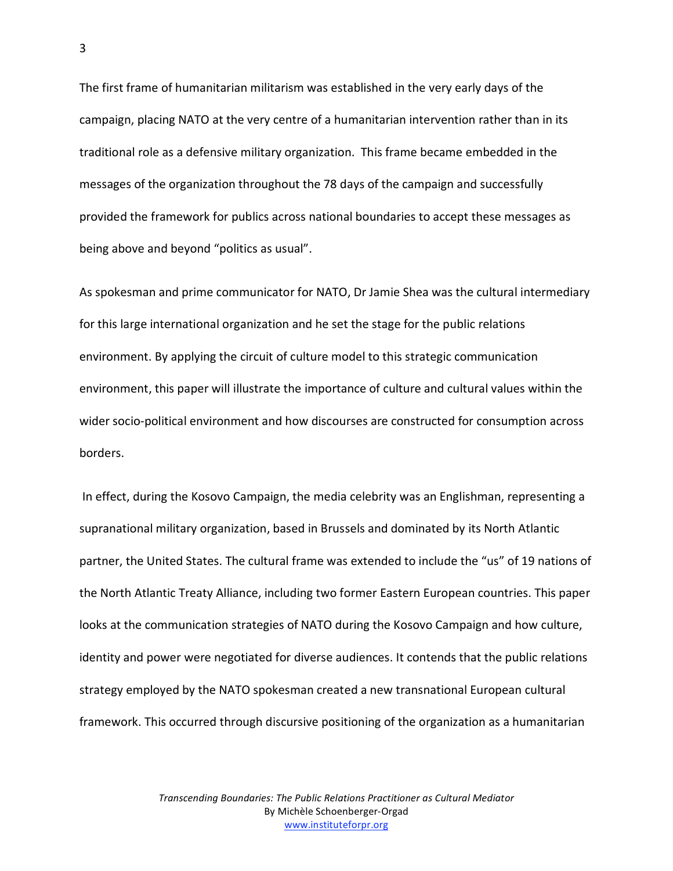The first frame of humanitarian militarism was established in the very early days of the campaign, placing NATO at the very centre of a humanitarian intervention rather than in its traditional role as a defensive military organization. This frame became embedded in the messages of the organization throughout the 78 days of the campaign and successfully provided the framework for publics across national boundaries to accept these messages as being above and beyond "politics as usual".

As spokesman and prime communicator for NATO, Dr Jamie Shea was the cultural intermediary for this large international organization and he set the stage for the public relations environment. By applying the circuit of culture model to this strategic communication environment, this paper will illustrate the importance of culture and cultural values within the wider socio‐political environment and how discourses are constructed for consumption across borders.

In effect, during the Kosovo Campaign, the media celebrity was an Englishman, representing a supranational military organization, based in Brussels and dominated by its North Atlantic partner, the United States. The cultural frame was extended to include the "us" of 19 nations of the North Atlantic Treaty Alliance, including two former Eastern European countries. This paper looks at the communication strategies of NATO during the Kosovo Campaign and how culture, identity and power were negotiated for diverse audiences. It contends that the public relations strategy employed by the NATO spokesman created a new transnational European cultural framework. This occurred through discursive positioning of the organization as a humanitarian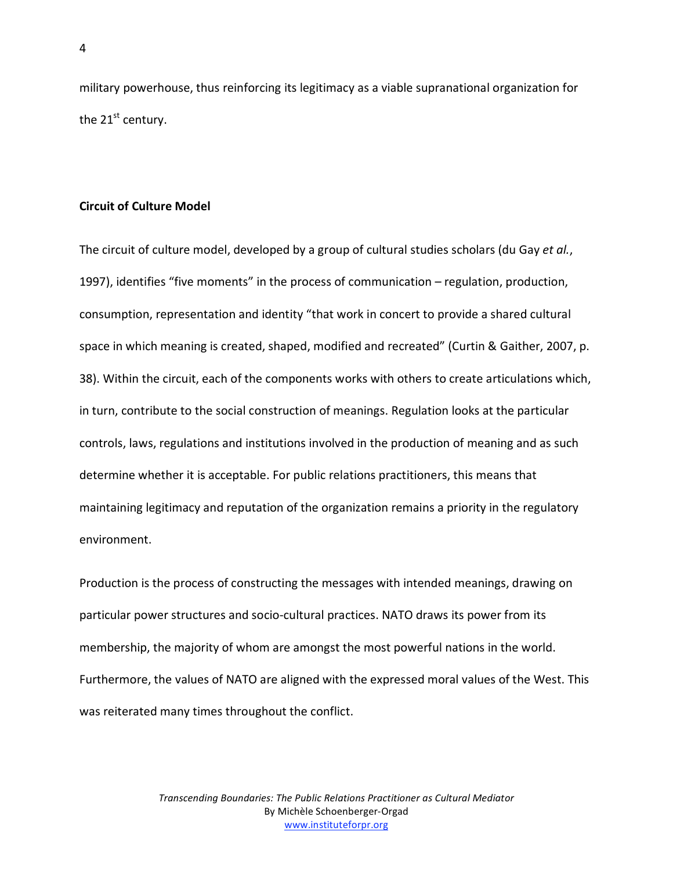military powerhouse, thus reinforcing its legitimacy as a viable supranational organization for the  $21<sup>st</sup>$  century.

#### **Circuit of Culture Model**

The circuit of culture model, developed by a group of cultural studies scholars (du Gay *et al.*, 1997), identifies "five moments" in the process of communication – regulation, production, consumption, representation and identity "that work in concert to provide a shared cultural space in which meaning is created, shaped, modified and recreated" (Curtin & Gaither, 2007, p. 38). Within the circuit, each of the components works with others to create articulations which, in turn, contribute to the social construction of meanings. Regulation looks at the particular controls, laws, regulations and institutions involved in the production of meaning and as such determine whether it is acceptable. For public relations practitioners, this means that maintaining legitimacy and reputation of the organization remains a priority in the regulatory environment.

Production is the process of constructing the messages with intended meanings, drawing on particular power structures and socio‐cultural practices. NATO draws its power from its membership, the majority of whom are amongst the most powerful nations in the world. Furthermore, the values of NATO are aligned with the expressed moral values of the West. This was reiterated many times throughout the conflict.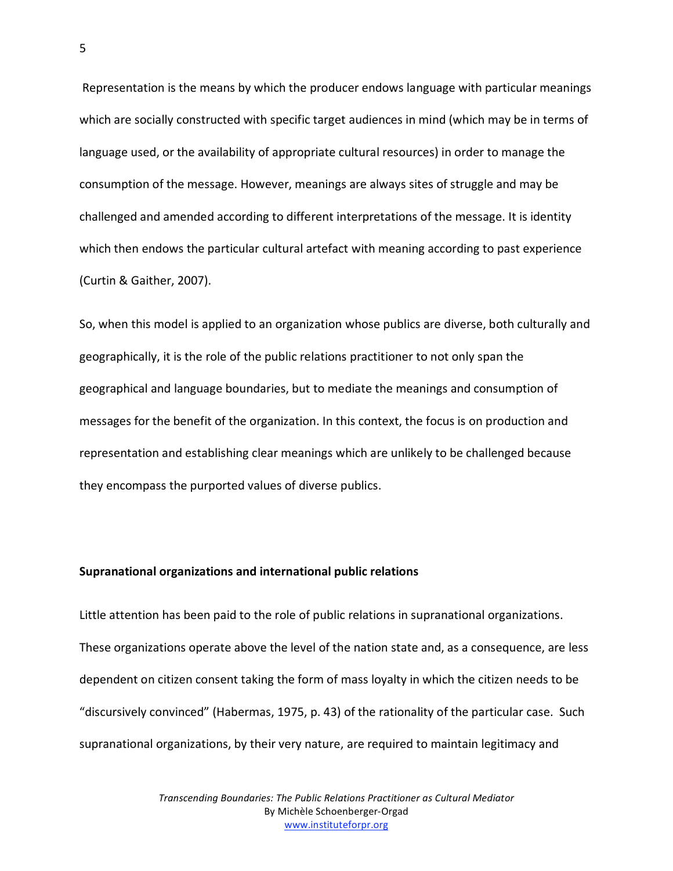Representation is the means by which the producer endows language with particular meanings which are socially constructed with specific target audiences in mind (which may be in terms of language used, or the availability of appropriate cultural resources) in order to manage the consumption of the message. However, meanings are always sites of struggle and may be challenged and amended according to different interpretations of the message. It is identity which then endows the particular cultural artefact with meaning according to past experience (Curtin & Gaither, 2007).

So, when this model is applied to an organization whose publics are diverse, both culturally and geographically, it is the role of the public relations practitioner to not only span the geographical and language boundaries, but to mediate the meanings and consumption of messages for the benefit of the organization. In this context, the focus is on production and representation and establishing clear meanings which are unlikely to be challenged because they encompass the purported values of diverse publics.

#### **Supranational organizations and international public relations**

Little attention has been paid to the role of public relations in supranational organizations. These organizations operate above the level of the nation state and, as a consequence, are less dependent on citizen consent taking the form of mass loyalty in which the citizen needs to be "discursively convinced" (Habermas, 1975, p. 43) of the rationality of the particular case. Such supranational organizations, by their very nature, are required to maintain legitimacy and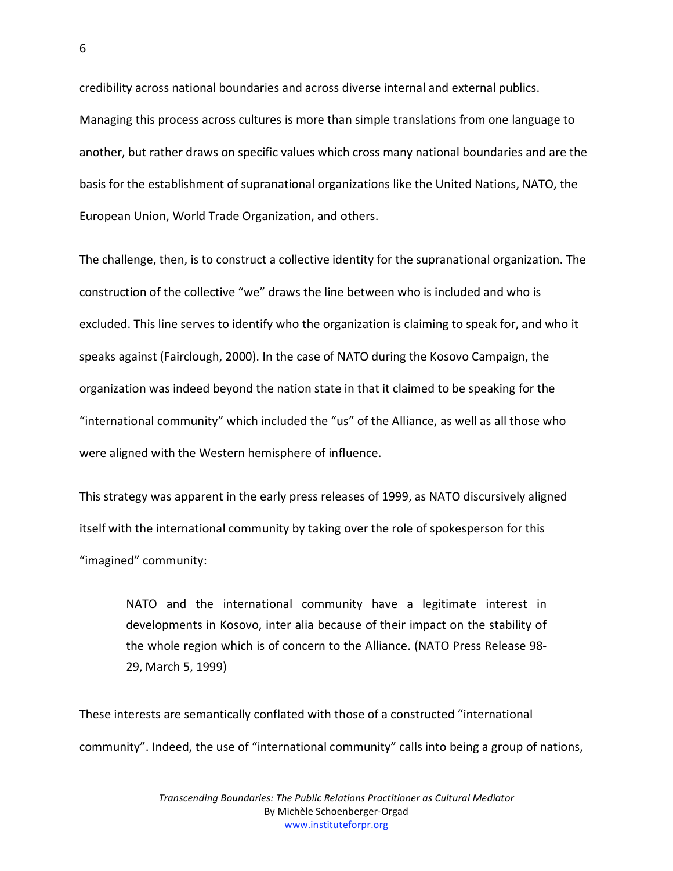credibility across national boundaries and across diverse internal and external publics. Managing this process across cultures is more than simple translations from one language to another, but rather draws on specific values which cross many national boundaries and are the basis for the establishment of supranational organizations like the United Nations, NATO, the European Union, World Trade Organization, and others.

The challenge, then, is to construct a collective identity for the supranational organization. The construction of the collective "we" draws the line between who is included and who is excluded. This line serves to identify who the organization is claiming to speak for, and who it speaks against (Fairclough, 2000). In the case of NATO during the Kosovo Campaign, the organization was indeed beyond the nation state in that it claimed to be speaking for the "international community" which included the "us" of the Alliance, as well as all those who were aligned with the Western hemisphere of influence.

This strategy was apparent in the early press releases of 1999, as NATO discursively aligned itself with the international community by taking over the role of spokesperson for this "imagined" community:

NATO and the international community have a legitimate interest in developments in Kosovo, inter alia because of their impact on the stability of the whole region which is of concern to the Alliance. (NATO Press Release 98‐ 29, March 5, 1999)

These interests are semantically conflated with those of a constructed "international community". Indeed, the use of "international community" calls into being a group of nations,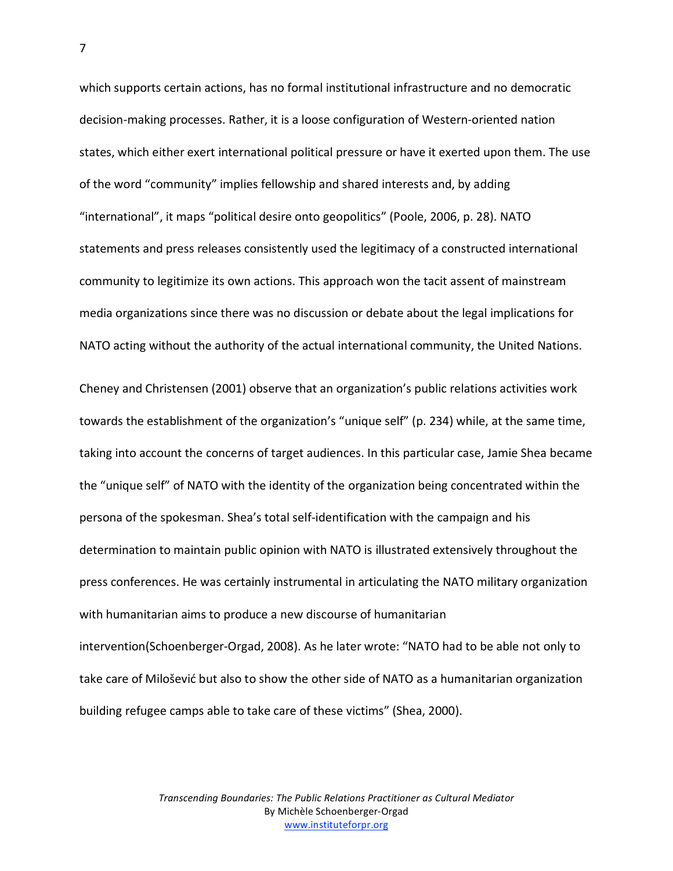which supports certain actions, has no formal institutional infrastructure and no democratic decision‐making processes. Rather, it is a loose configuration of Western‐oriented nation states, which either exert international political pressure or have it exerted upon them. The use of the word "community" implies fellowship and shared interests and, by adding "international", it maps "political desire onto geopolitics" (Poole, 2006, p. 28). NATO statements and press releases consistently used the legitimacy of a constructed international community to legitimize its own actions. This approach won the tacit assent of mainstream media organizations since there was no discussion or debate about the legal implications for NATO acting without the authority of the actual international community, the United Nations.

Cheney and Christensen (2001) observe that an organization's public relations activities work towards the establishment of the organization's "unique self" (p. 234) while, at the same time, taking into account the concerns of target audiences. In this particular case, Jamie Shea became the "unique self" of NATO with the identity of the organization being concentrated within the persona of the spokesman. Shea's total self‐identification with the campaign and his determination to maintain public opinion with NATO is illustrated extensively throughout the press conferences. He was certainly instrumental in articulating the NATO military organization with humanitarian aims to produce a new discourse of humanitarian intervention(Schoenberger‐Orgad, 2008). As he later wrote: "NATO had to be able not only to take care of Milošević but also to show the other side of NATO as a humanitarian organization building refugee camps able to take care of these victims" (Shea, 2000).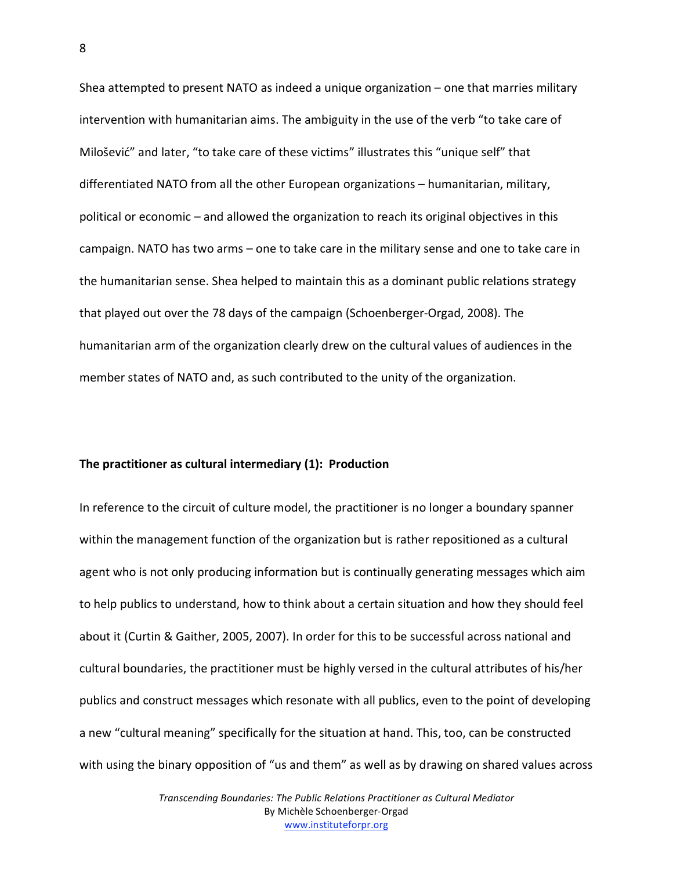Shea attempted to present NATO as indeed a unique organization – one that marries military intervention with humanitarian aims. The ambiguity in the use of the verb "to take care of Milošević" and later, "to take care of these victims" illustrates this "unique self" that differentiated NATO from all the other European organizations – humanitarian, military, political or economic – and allowed the organization to reach its original objectives in this campaign. NATO has two arms – one to take care in the military sense and one to take care in the humanitarian sense. Shea helped to maintain this as a dominant public relations strategy that played out over the 78 days of the campaign (Schoenberger‐Orgad, 2008). The humanitarian arm of the organization clearly drew on the cultural values of audiences in the member states of NATO and, as such contributed to the unity of the organization.

#### **The practitioner as cultural intermediary (1): Production**

In reference to the circuit of culture model, the practitioner is no longer a boundary spanner within the management function of the organization but is rather repositioned as a cultural agent who is not only producing information but is continually generating messages which aim to help publics to understand, how to think about a certain situation and how they should feel about it (Curtin & Gaither, 2005, 2007). In order for this to be successful across national and cultural boundaries, the practitioner must be highly versed in the cultural attributes of his/her publics and construct messages which resonate with all publics, even to the point of developing a new "cultural meaning" specifically for the situation at hand. This, too, can be constructed with using the binary opposition of "us and them" as well as by drawing on shared values across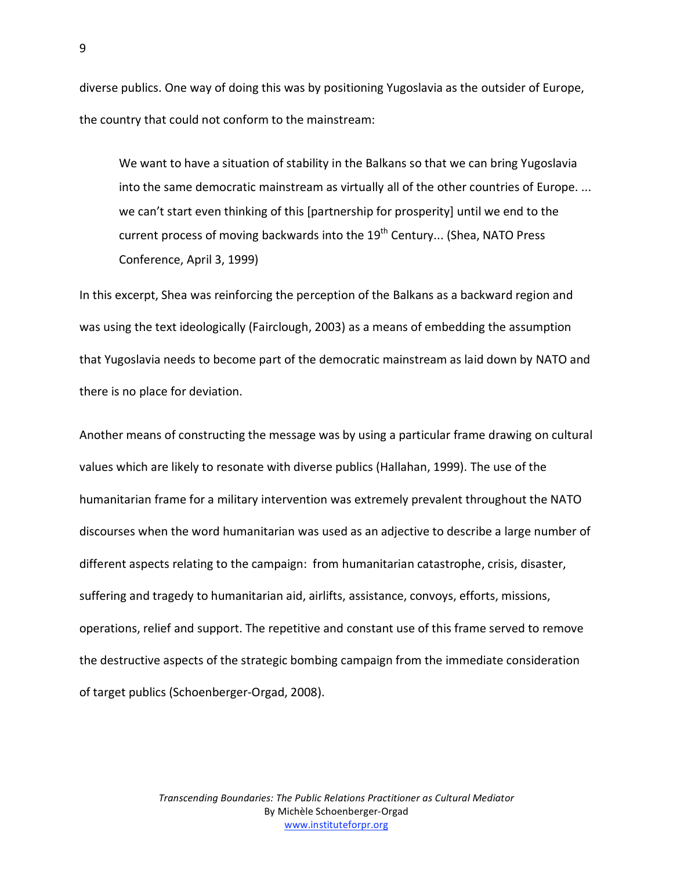diverse publics. One way of doing this was by positioning Yugoslavia as the outsider of Europe, the country that could not conform to the mainstream:

We want to have a situation of stability in the Balkans so that we can bring Yugoslavia into the same democratic mainstream as virtually all of the other countries of Europe. ... we can't start even thinking of this [partnership for prosperity] until we end to the current process of moving backwards into the  $19<sup>th</sup>$  Century... (Shea, NATO Press Conference, April 3, 1999)

In this excerpt, Shea was reinforcing the perception of the Balkans as a backward region and was using the text ideologically (Fairclough, 2003) as a means of embedding the assumption that Yugoslavia needs to become part of the democratic mainstream as laid down by NATO and there is no place for deviation.

Another means of constructing the message was by using a particular frame drawing on cultural values which are likely to resonate with diverse publics (Hallahan, 1999). The use of the humanitarian frame for a military intervention was extremely prevalent throughout the NATO discourses when the word humanitarian was used as an adjective to describe a large number of different aspects relating to the campaign: from humanitarian catastrophe, crisis, disaster, suffering and tragedy to humanitarian aid, airlifts, assistance, convoys, efforts, missions, operations, relief and support. The repetitive and constant use of this frame served to remove the destructive aspects of the strategic bombing campaign from the immediate consideration of target publics (Schoenberger‐Orgad, 2008).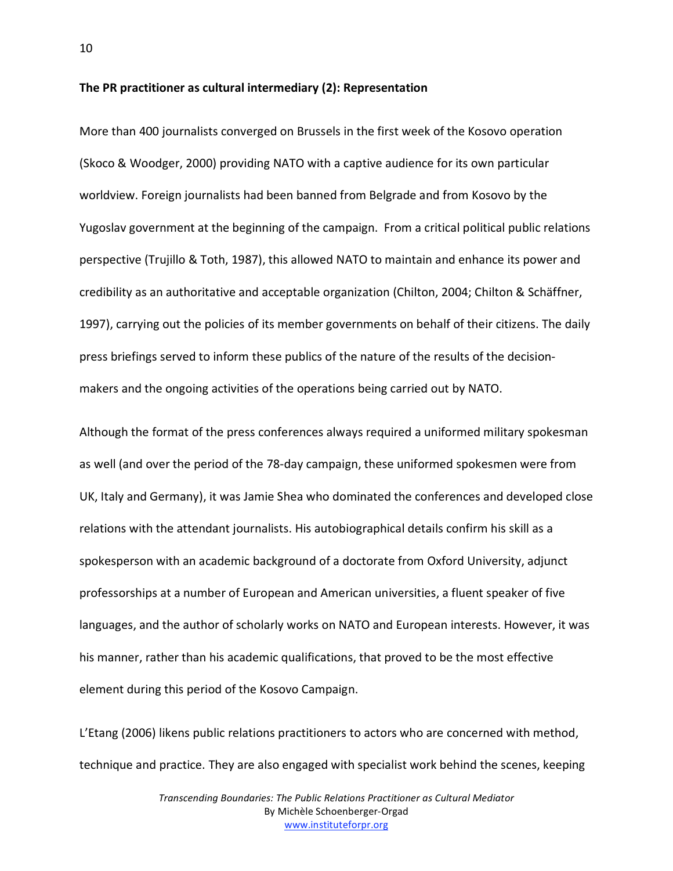**The PR practitioner as cultural intermediary (2): Representation**

More than 400 journalists converged on Brussels in the first week of the Kosovo operation (Skoco & Woodger, 2000) providing NATO with a captive audience for its own particular worldview. Foreign journalists had been banned from Belgrade and from Kosovo by the Yugoslav government at the beginning of the campaign. From a critical political public relations perspective (Trujillo & Toth, 1987), this allowed NATO to maintain and enhance its power and credibility as an authoritative and acceptable organization (Chilton, 2004; Chilton & Schäffner, 1997), carrying out the policies of its member governments on behalf of their citizens. The daily press briefings served to inform these publics of the nature of the results of the decision‐ makers and the ongoing activities of the operations being carried out by NATO.

Although the format of the press conferences always required a uniformed military spokesman as well (and over the period of the 78‐day campaign, these uniformed spokesmen were from UK, Italy and Germany), it was Jamie Shea who dominated the conferences and developed close relations with the attendant journalists. His autobiographical details confirm his skill as a spokesperson with an academic background of a doctorate from Oxford University, adjunct professorships at a number of European and American universities, a fluent speaker of five languages, and the author of scholarly works on NATO and European interests. However, it was his manner, rather than his academic qualifications, that proved to be the most effective element during this period of the Kosovo Campaign.

L'Etang (2006) likens public relations practitioners to actors who are concerned with method, technique and practice. They are also engaged with specialist work behind the scenes, keeping

> *Transcending Boundaries: The Public Relations Practitioner as Cultural Mediator* By Michèle Schoenberger‐Orgad www.instituteforpr.org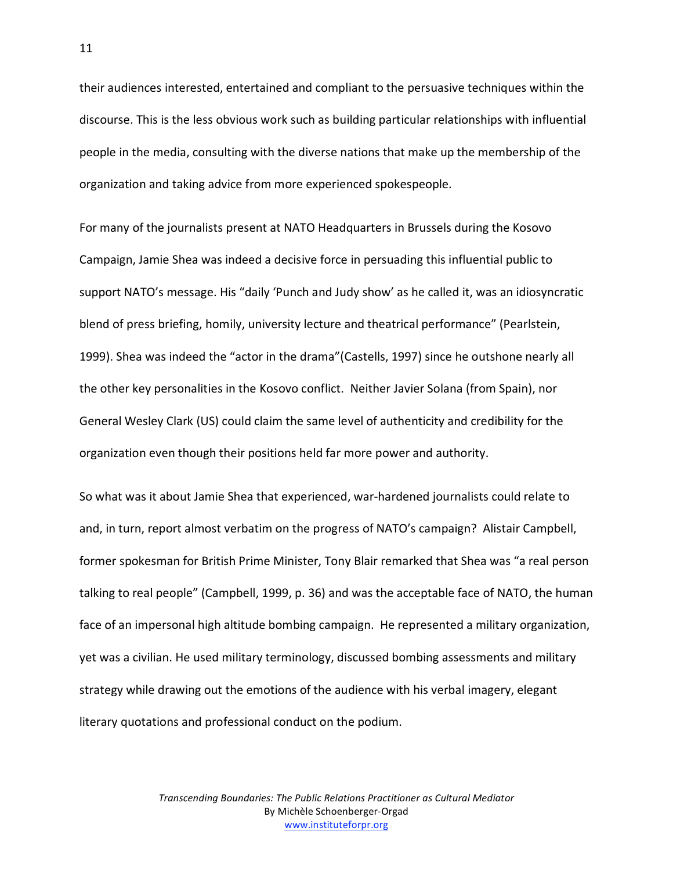their audiences interested, entertained and compliant to the persuasive techniques within the discourse. This is the less obvious work such as building particular relationships with influential people in the media, consulting with the diverse nations that make up the membership of the organization and taking advice from more experienced spokespeople.

For many of the journalists present at NATO Headquarters in Brussels during the Kosovo Campaign, Jamie Shea was indeed a decisive force in persuading this influential public to support NATO's message. His "daily 'Punch and Judy show' as he called it, was an idiosyncratic blend of press briefing, homily, university lecture and theatrical performance" (Pearlstein, 1999). Shea was indeed the "actor in the drama"(Castells, 1997) since he outshone nearly all the other key personalities in the Kosovo conflict. Neither Javier Solana (from Spain), nor General Wesley Clark (US) could claim the same level of authenticity and credibility for the organization even though their positions held far more power and authority.

So what was it about Jamie Shea that experienced, war‐hardened journalists could relate to and, in turn, report almost verbatim on the progress of NATO's campaign? Alistair Campbell, former spokesman for British Prime Minister, Tony Blair remarked that Shea was "a real person talking to real people" (Campbell, 1999, p. 36) and was the acceptable face of NATO, the human face of an impersonal high altitude bombing campaign. He represented a military organization, yet was a civilian. He used military terminology, discussed bombing assessments and military strategy while drawing out the emotions of the audience with his verbal imagery, elegant literary quotations and professional conduct on the podium.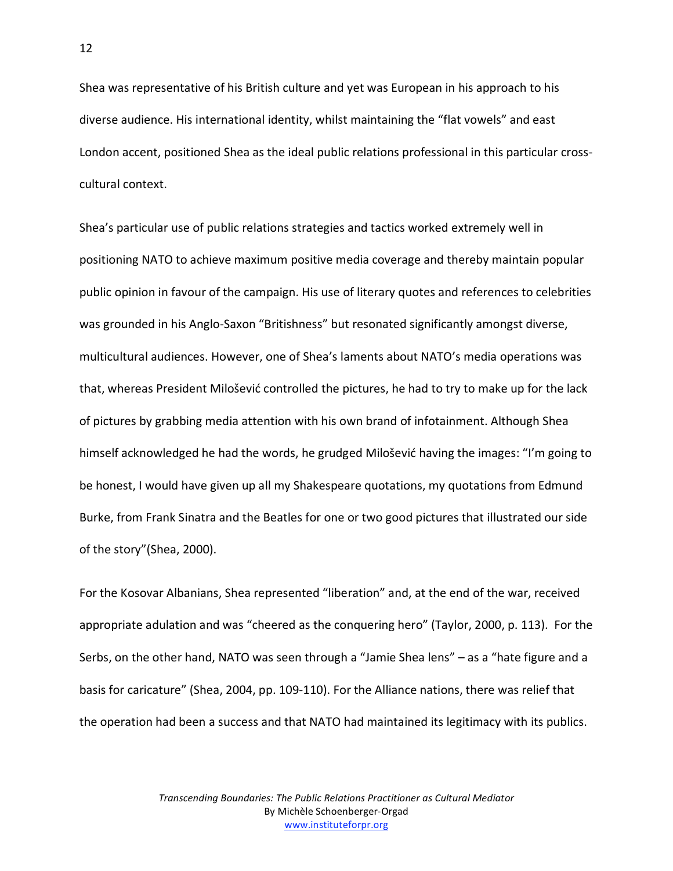Shea was representative of his British culture and yet was European in his approach to his diverse audience. His international identity, whilst maintaining the "flat vowels" and east London accent, positioned Shea as the ideal public relations professional in this particular cross‐ cultural context.

Shea's particular use of public relations strategies and tactics worked extremely well in positioning NATO to achieve maximum positive media coverage and thereby maintain popular public opinion in favour of the campaign. His use of literary quotes and references to celebrities was grounded in his Anglo-Saxon "Britishness" but resonated significantly amongst diverse, multicultural audiences. However, one of Shea's laments about NATO's media operations was that, whereas President Milošević controlled the pictures, he had to try to make up for the lack of pictures by grabbing media attention with his own brand of infotainment. Although Shea himself acknowledged he had the words, he grudged Milošević having the images: "I'm going to be honest, I would have given up all my Shakespeare quotations, my quotations from Edmund Burke, from Frank Sinatra and the Beatles for one or two good pictures that illustrated our side of the story"(Shea, 2000).

For the Kosovar Albanians, Shea represented "liberation" and, at the end of the war, received appropriate adulation and was "cheered as the conquering hero" (Taylor, 2000, p. 113). For the Serbs, on the other hand, NATO was seen through a "Jamie Shea lens" – as a "hate figure and a basis for caricature" (Shea, 2004, pp. 109‐110). For the Alliance nations, there was relief that the operation had been a success and that NATO had maintained its legitimacy with its publics.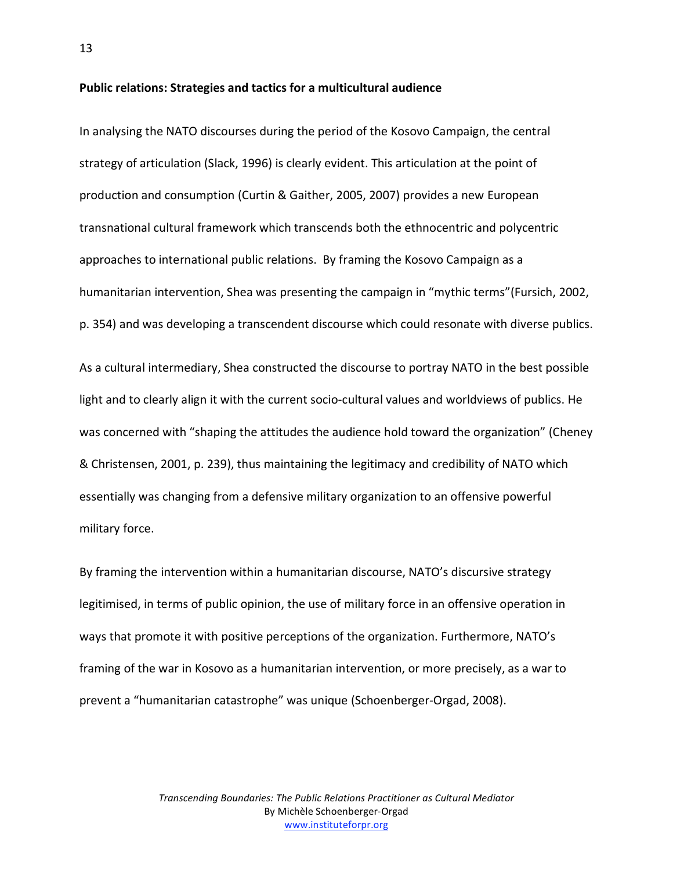**Public relations: Strategies and tactics for a multicultural audience**

In analysing the NATO discourses during the period of the Kosovo Campaign, the central strategy of articulation (Slack, 1996) is clearly evident. This articulation at the point of production and consumption (Curtin & Gaither, 2005, 2007) provides a new European transnational cultural framework which transcends both the ethnocentric and polycentric approaches to international public relations. By framing the Kosovo Campaign as a humanitarian intervention, Shea was presenting the campaign in "mythic terms"(Fursich, 2002, p. 354) and was developing a transcendent discourse which could resonate with diverse publics.

As a cultural intermediary, Shea constructed the discourse to portray NATO in the best possible light and to clearly align it with the current socio‐cultural values and worldviews of publics. He was concerned with "shaping the attitudes the audience hold toward the organization" (Cheney & Christensen, 2001, p. 239), thus maintaining the legitimacy and credibility of NATO which essentially was changing from a defensive military organization to an offensive powerful military force.

By framing the intervention within a humanitarian discourse, NATO's discursive strategy legitimised, in terms of public opinion, the use of military force in an offensive operation in ways that promote it with positive perceptions of the organization. Furthermore, NATO's framing of the war in Kosovo as a humanitarian intervention, or more precisely, as a war to prevent a "humanitarian catastrophe" was unique (Schoenberger‐Orgad, 2008).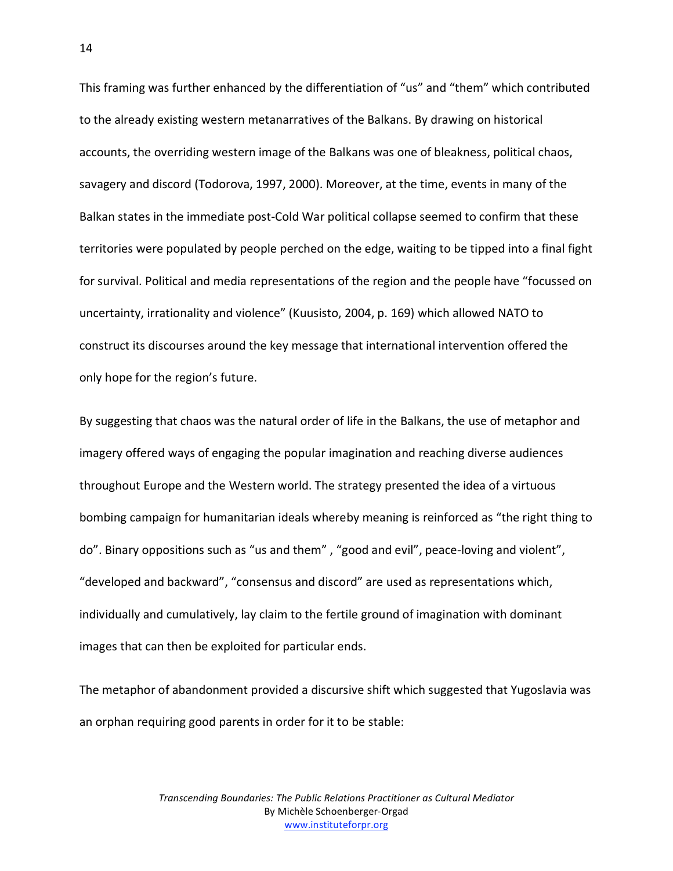This framing was further enhanced by the differentiation of "us" and "them" which contributed to the already existing western metanarratives of the Balkans. By drawing on historical accounts, the overriding western image of the Balkans was one of bleakness, political chaos, savagery and discord (Todorova, 1997, 2000). Moreover, at the time, events in many of the Balkan states in the immediate post-Cold War political collapse seemed to confirm that these territories were populated by people perched on the edge, waiting to be tipped into a final fight for survival. Political and media representations of the region and the people have "focussed on uncertainty, irrationality and violence" (Kuusisto, 2004, p. 169) which allowed NATO to construct its discourses around the key message that international intervention offered the only hope for the region's future.

By suggesting that chaos was the natural order of life in the Balkans, the use of metaphor and imagery offered ways of engaging the popular imagination and reaching diverse audiences throughout Europe and the Western world. The strategy presented the idea of a virtuous bombing campaign for humanitarian ideals whereby meaning is reinforced as "the right thing to do". Binary oppositions such as "us and them", "good and evil", peace-loving and violent", "developed and backward", "consensus and discord" are used as representations which, individually and cumulatively, lay claim to the fertile ground of imagination with dominant images that can then be exploited for particular ends.

The metaphor of abandonment provided a discursive shift which suggested that Yugoslavia was an orphan requiring good parents in order for it to be stable: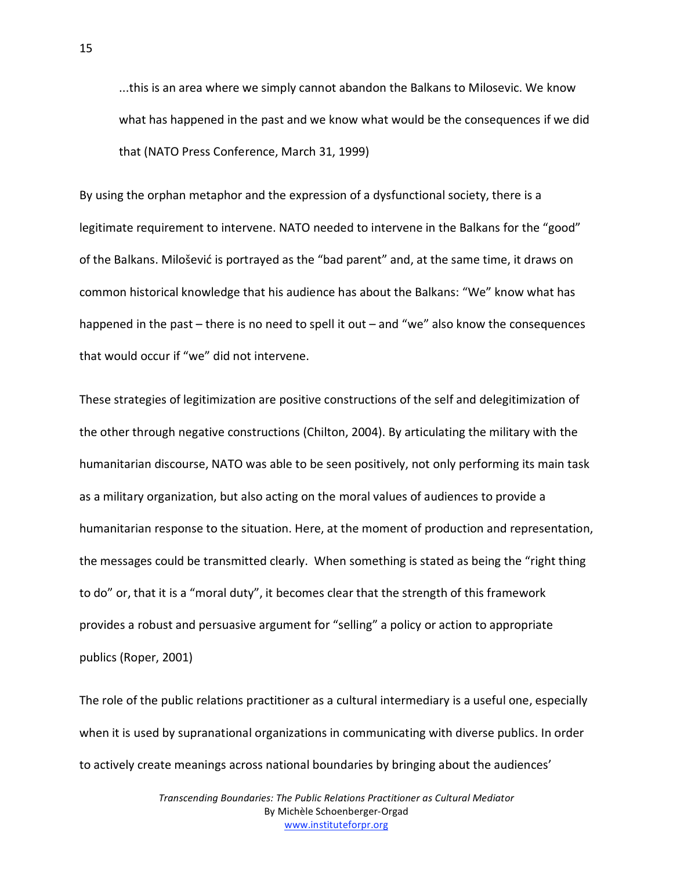...this is an area where we simply cannot abandon the Balkans to Milosevic. We know what has happened in the past and we know what would be the consequences if we did that (NATO Press Conference, March 31, 1999)

By using the orphan metaphor and the expression of a dysfunctional society, there is a legitimate requirement to intervene. NATO needed to intervene in the Balkans for the "good" of the Balkans. Milošević is portrayed as the "bad parent" and, at the same time, it draws on common historical knowledge that his audience has about the Balkans: "We" know what has happened in the past – there is no need to spell it out – and "we" also know the consequences that would occur if "we" did not intervene.

These strategies of legitimization are positive constructions of the self and delegitimization of the other through negative constructions (Chilton, 2004). By articulating the military with the humanitarian discourse, NATO was able to be seen positively, not only performing its main task as a military organization, but also acting on the moral values of audiences to provide a humanitarian response to the situation. Here, at the moment of production and representation, the messages could be transmitted clearly. When something is stated as being the "right thing to do" or, that it is a "moral duty", it becomes clear that the strength of this framework provides a robust and persuasive argument for "selling" a policy or action to appropriate publics (Roper, 2001)

The role of the public relations practitioner as a cultural intermediary is a useful one, especially when it is used by supranational organizations in communicating with diverse publics. In order to actively create meanings across national boundaries by bringing about the audiences'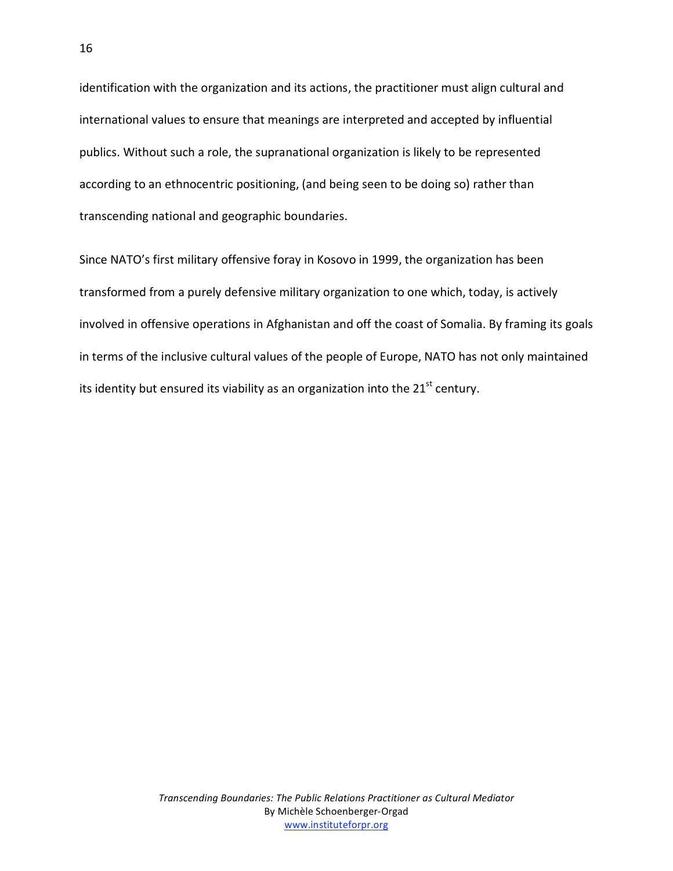identification with the organization and its actions, the practitioner must align cultural and international values to ensure that meanings are interpreted and accepted by influential publics. Without such a role, the supranational organization is likely to be represented according to an ethnocentric positioning, (and being seen to be doing so) rather than transcending national and geographic boundaries.

Since NATO's first military offensive foray in Kosovo in 1999, the organization has been transformed from a purely defensive military organization to one which, today, is actively involved in offensive operations in Afghanistan and off the coast of Somalia. By framing its goals in terms of the inclusive cultural values of the people of Europe, NATO has not only maintained its identity but ensured its viability as an organization into the 21 $^{\rm st}$  century.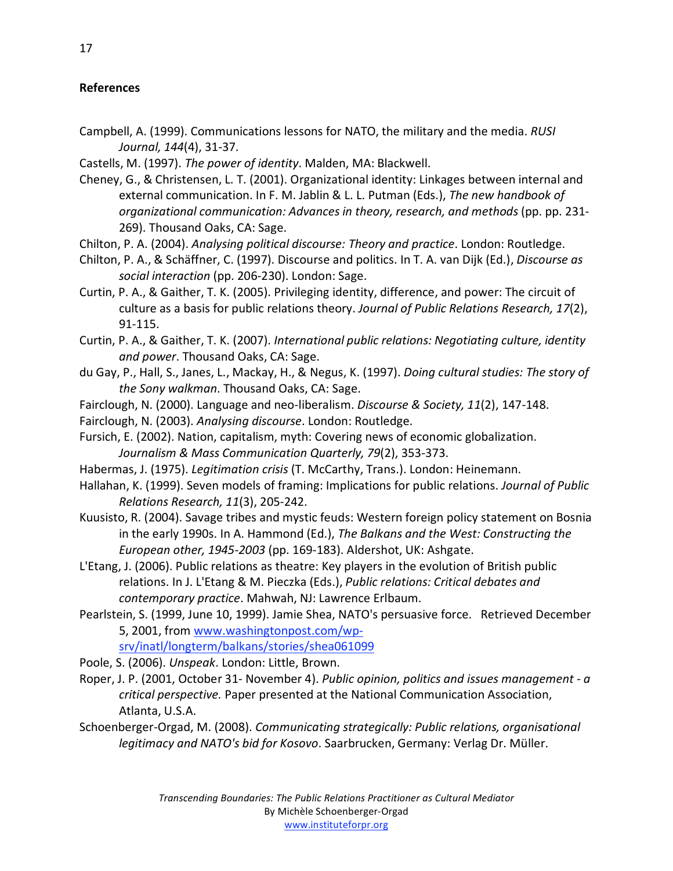## **References**

- Campbell, A. (1999). Communications lessons for NATO, the military and the media. *RUSI Journal, 144*(4), 31‐37.
- Castells, M. (1997). *The power of identity*. Malden, MA: Blackwell.
- Cheney, G., & Christensen, L. T. (2001). Organizational identity: Linkages between internal and external communication. In F. M. Jablin & L. L. Putman (Eds.), *The new handbook of organizational communication: Advances in theory, research, and methods* (pp. pp. 231‐ 269). Thousand Oaks, CA: Sage.
- Chilton, P. A. (2004). *Analysing political discourse: Theory and practice*. London: Routledge.
- Chilton, P. A., & Schäffner, C. (1997). Discourse and politics. In T. A. van Dijk (Ed.), *Discourse as social interaction* (pp. 206‐230). London: Sage.
- Curtin, P. A., & Gaither, T. K. (2005). Privileging identity, difference, and power: The circuit of culture as a basis for public relations theory. *Journal of Public Relations Research, 17*(2), 91‐115.
- Curtin, P. A., & Gaither, T. K. (2007). *International public relations: Negotiating culture, identity and power*. Thousand Oaks, CA: Sage.
- du Gay, P., Hall, S., Janes, L., Mackay, H., & Negus, K. (1997). *Doing cultural studies: The story of the Sony walkman*. Thousand Oaks, CA: Sage.
- Fairclough, N. (2000). Language and neo‐liberalism. *Discourse & Society, 11*(2), 147‐148.
- Fairclough, N. (2003). *Analysing discourse*. London: Routledge.
- Fursich, E. (2002). Nation, capitalism, myth: Covering news of economic globalization. *Journalism & Mass Communication Quarterly, 79*(2), 353‐373.
- Habermas, J. (1975). *Legitimation crisis* (T. McCarthy, Trans.). London: Heinemann.
- Hallahan, K. (1999). Seven models of framing: Implications for public relations. *Journal of Public Relations Research, 11*(3), 205‐242.
- Kuusisto, R. (2004). Savage tribes and mystic feuds: Western foreign policy statement on Bosnia in the early 1990s. In A. Hammond (Ed.), *The Balkans and the West: Constructing the European other, 1945‐2003* (pp. 169‐183). Aldershot, UK: Ashgate.
- L'Etang, J. (2006). Public relations as theatre: Key players in the evolution of British public relations. In J. L'Etang & M. Pieczka (Eds.), *Public relations: Critical debates and contemporary practice*. Mahwah, NJ: Lawrence Erlbaum.
- Pearlstein, S. (1999, June 10, 1999). Jamie Shea, NATO's persuasive force. Retrieved December 5, 2001, from www.washingtonpost.com/wp‐

srv/inatl/longterm/balkans/stories/shea061099

- Poole, S. (2006). *Unspeak*. London: Little, Brown.
- Roper, J. P. (2001, October 31‐ November 4). *Public opinion, politics and issues management ‐ a critical perspective.* Paper presented at the National Communication Association, Atlanta, U.S.A.
- Schoenberger‐Orgad, M. (2008). *Communicating strategically: Public relations, organisational legitimacy and NATO's bid for Kosovo*. Saarbrucken, Germany: Verlag Dr. Müller.